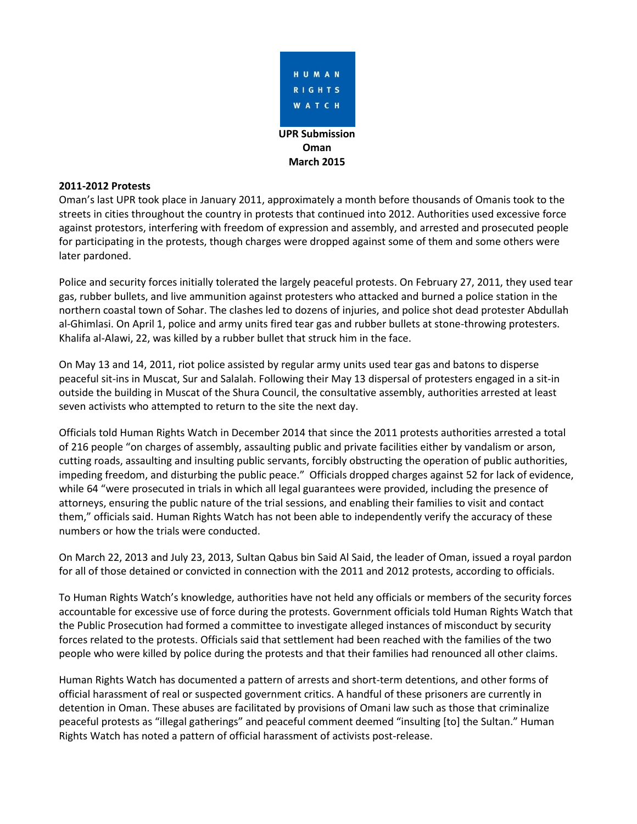

#### **2011-2012 Protests**

Oman's last UPR took place in January 2011, approximately a month before thousands of Omanis took to the streets in cities throughout the country in protests that continued into 2012. Authorities used excessive force against protestors, interfering with freedom of expression and assembly, and arrested and prosecuted people for participating in the protests, though charges were dropped against some of them and some others were later pardoned.

Police and security forces initially tolerated the largely peaceful protests. On February 27, 2011, they used tear gas, rubber bullets, and live ammunition against protesters who attacked and burned a police station in the northern coastal town of Sohar. The clashes led to dozens of injuries, and police shot dead protester Abdullah al-Ghimlasi. On April 1, police and army units fired tear gas and rubber bullets at stone-throwing protesters. Khalifa al-Alawi, 22, was killed by a rubber bullet that struck him in the face.

On May 13 and 14, 2011, riot police assisted by regular army units used tear gas and batons to disperse peaceful sit-ins in Muscat, Sur and Salalah. Following their May 13 dispersal of protesters engaged in a sit-in outside the building in Muscat of the Shura Council, the consultative assembly, authorities arrested at least seven activists who attempted to return to the site the next day.

Officials told Human Rights Watch in December 2014 that since the 2011 protests authorities arrested a total of 216 people "on charges of assembly, assaulting public and private facilities either by vandalism or arson, cutting roads, assaulting and insulting public servants, forcibly obstructing the operation of public authorities, impeding freedom, and disturbing the public peace." Officials dropped charges against 52 for lack of evidence, while 64 "were prosecuted in trials in which all legal guarantees were provided, including the presence of attorneys, ensuring the public nature of the trial sessions, and enabling their families to visit and contact them," officials said. Human Rights Watch has not been able to independently verify the accuracy of these numbers or how the trials were conducted.

On March 22, 2013 and July 23, 2013, Sultan Qabus bin Said Al Said, the leader of Oman, issued a royal pardon for all of those detained or convicted in connection with the 2011 and 2012 protests, according to officials.

To Human Rights Watch's knowledge, authorities have not held any officials or members of the security forces accountable for excessive use of force during the protests. Government officials told Human Rights Watch that the Public Prosecution had formed a committee to investigate alleged instances of misconduct by security forces related to the protests. Officials said that settlement had been reached with the families of the two people who were killed by police during the protests and that their families had renounced all other claims.

Human Rights Watch has documented a pattern of arrests and short-term detentions, and other forms of official harassment of real or suspected government critics. A handful of these prisoners are currently in detention in Oman. These abuses are facilitated by provisions of Omani law such as those that criminalize peaceful protests as "illegal gatherings" and peaceful comment deemed "insulting [to] the Sultan." Human Rights Watch has noted a pattern of official harassment of activists post-release.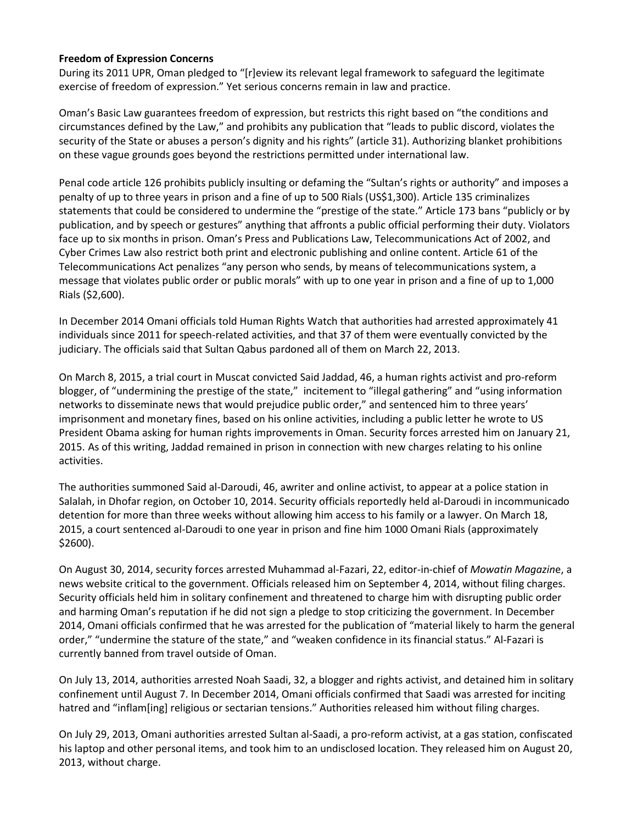#### **Freedom of Expression Concerns**

During its 2011 UPR, Oman pledged to "[r]eview its relevant legal framework to safeguard the legitimate exercise of freedom of expression." Yet serious concerns remain in law and practice.

Oman's Basic Law guarantees freedom of expression, but restricts this right based on "the conditions and circumstances defined by the Law," and prohibits any publication that "leads to public discord, violates the security of the State or abuses a person's dignity and his rights" (article 31). Authorizing blanket prohibitions on these vague grounds goes beyond the restrictions permitted under international law.

Penal code article 126 prohibits publicly insulting or defaming the "Sultan's rights or authority" and imposes a penalty of up to three years in prison and a fine of up to 500 Rials (US\$1,300). Article 135 criminalizes statements that could be considered to undermine the "prestige of the state." Article 173 bans "publicly or by publication, and by speech or gestures" anything that affronts a public official performing their duty. Violators face up to six months in prison. Oman's Press and Publications Law, Telecommunications Act of 2002, and Cyber Crimes Law also restrict both print and electronic publishing and online content. Article 61 of the Telecommunications Act penalizes "any person who sends, by means of telecommunications system, a message that violates public order or public morals" with up to one year in prison and a fine of up to 1,000 Rials (\$2,600).

In December 2014 Omani officials told Human Rights Watch that authorities had arrested approximately 41 individuals since 2011 for speech-related activities, and that 37 of them were eventually convicted by the judiciary. The officials said that Sultan Qabus pardoned all of them on March 22, 2013.

On March 8, 2015, a trial court in Muscat convicted Said Jaddad, 46, a human rights activist and pro-reform blogger, of "undermining the prestige of the state," incitement to "illegal gathering" and "using information networks to disseminate news that would prejudice public order," and sentenced him to three years' imprisonment and monetary fines, based on his online activities, including a public letter he wrote to US President Obama asking for human rights improvements in Oman. Security forces arrested him on January 21, 2015. As of this writing, Jaddad remained in prison in connection with new charges relating to his online activities.

The authorities summoned Said al-Daroudi, 46, awriter and online activist, to appear at a police station in Salalah, in Dhofar region, on October 10, 2014. Security officials reportedly held al-Daroudi in incommunicado detention for more than three weeks without allowing him access to his family or a lawyer. On March 18, 2015, a court sentenced al-Daroudi to one year in prison and fine him 1000 Omani Rials (approximately \$2600).

On August 30, 2014, security forces arrested Muhammad al-Fazari, 22, editor-in-chief of *Mowatin Magazin*e, a news website critical to the government. Officials released him on September 4, 2014, without filing charges. Security officials held him in solitary confinement and threatened to charge him with disrupting public order and harming Oman's reputation if he did not sign a pledge to stop criticizing the government. In December 2014, Omani officials confirmed that he was arrested for the publication of "material likely to harm the general order," "undermine the stature of the state," and "weaken confidence in its financial status." Al-Fazari is currently banned from travel outside of Oman.

On July 13, 2014, authorities arrested Noah Saadi, 32, a blogger and rights activist, and detained him in solitary confinement until August 7. In December 2014, Omani officials confirmed that Saadi was arrested for inciting hatred and "inflam[ing] religious or sectarian tensions." Authorities released him without filing charges.

On July 29, 2013, Omani authorities arrested Sultan al-Saadi, a pro-reform activist, at a gas station, confiscated his laptop and other personal items, and took him to an undisclosed location. They released him on August 20, 2013, without charge.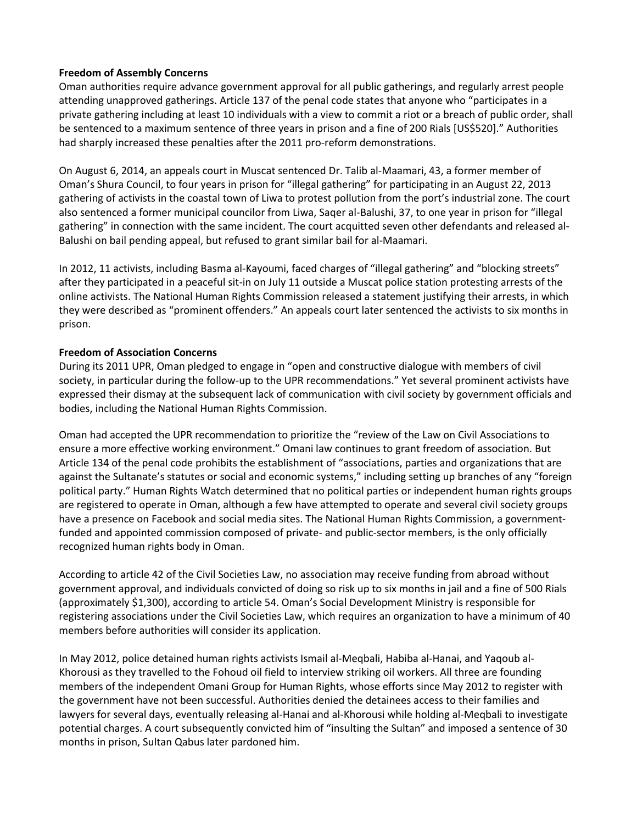#### **Freedom of Assembly Concerns**

Oman authorities require advance government approval for all public gatherings, and regularly arrest people attending unapproved gatherings. Article 137 of the penal code states that anyone who "participates in a private gathering including at least 10 individuals with a view to commit a riot or a breach of public order, shall be sentenced to a maximum sentence of three years in prison and a fine of 200 Rials [US\$520]." Authorities had sharply increased these penalties after the 2011 pro-reform demonstrations.

On August 6, 2014, an appeals court in Muscat sentenced Dr. Talib al-Maamari, 43, a former member of Oman's Shura Council, to four years in prison for "illegal gathering" for participating in an August 22, 2013 gathering of activists in the coastal town of Liwa to protest pollution from the port's industrial zone. The court also sentenced a former municipal councilor from Liwa, Saqer al-Balushi, 37, to one year in prison for "illegal gathering" in connection with the same incident. The court acquitted seven other defendants and released al-Balushi on bail pending appeal, but refused to grant similar bail for al-Maamari.

In 2012, 11 activists, including Basma al-Kayoumi, faced charges of "illegal gathering" and "blocking streets" after they participated in a peaceful sit-in on July 11 outside a Muscat police station protesting arrests of the online activists. The National Human Rights Commission released a statement justifying their arrests, in which they were described as "prominent offenders." An appeals court later sentenced the activists to six months in prison.

### **Freedom of Association Concerns**

During its 2011 UPR, Oman pledged to engage in "open and constructive dialogue with members of civil society, in particular during the follow-up to the UPR recommendations." Yet several prominent activists have expressed their dismay at the subsequent lack of communication with civil society by government officials and bodies, including the National Human Rights Commission.

Oman had accepted the UPR recommendation to prioritize the "review of the Law on Civil Associations to ensure a more effective working environment." Omani law continues to grant freedom of association. But Article 134 of the penal code prohibits the establishment of "associations, parties and organizations that are against the Sultanate's statutes or social and economic systems," including setting up branches of any "foreign political party." Human Rights Watch determined that no political parties or independent human rights groups are registered to operate in Oman, although a few have attempted to operate and several civil society groups have a presence on Facebook and social media sites. The National Human Rights Commission, a governmentfunded and appointed commission composed of private- and public-sector members, is the only officially recognized human rights body in Oman.

According to article 42 of the Civil Societies Law, no association may receive funding from abroad without government approval, and individuals convicted of doing so risk up to six months in jail and a fine of 500 Rials (approximately \$1,300), according to article 54. Oman's Social Development Ministry is responsible for registering associations under the Civil Societies Law, which requires an organization to have a minimum of 40 members before authorities will consider its application.

In May 2012, police detained human rights activists Ismail al-Meqbali, Habiba al-Hanai, and Yaqoub al-Khorousi as they travelled to the Fohoud oil field to interview striking oil workers. All three are founding members of the independent Omani Group for Human Rights, whose efforts since May 2012 to register with the government have not been successful. Authorities denied the detainees access to their families and lawyers for several days, eventually releasing al-Hanai and al-Khorousi while holding al-Meqbali to investigate potential charges. A court subsequently convicted him of "insulting the Sultan" and imposed a sentence of 30 months in prison, Sultan Qabus later pardoned him.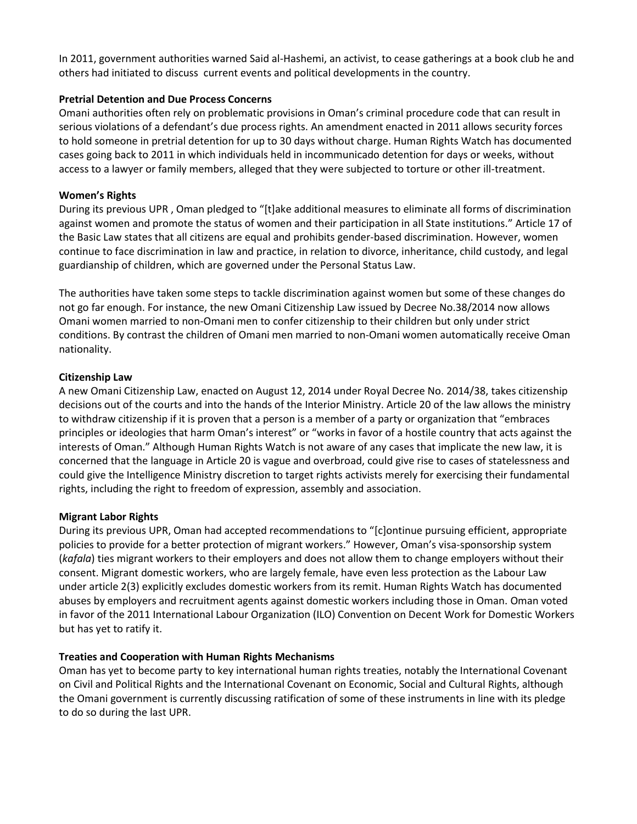In 2011, government authorities warned Said al-Hashemi, an activist, to cease gatherings at a book club he and others had initiated to discuss current events and political developments in the country.

# **Pretrial Detention and Due Process Concerns**

Omani authorities often rely on problematic provisions in Oman's criminal procedure code that can result in serious violations of a defendant's due process rights. An amendment enacted in 2011 allows security forces to hold someone in pretrial detention for up to 30 days without charge. Human Rights Watch has documented cases going back to 2011 in which individuals held in incommunicado detention for days or weeks, without access to a lawyer or family members, alleged that they were subjected to torture or other ill-treatment.

# **Women's Rights**

During its previous UPR , Oman pledged to "[t]ake additional measures to eliminate all forms of discrimination against women and promote the status of women and their participation in all State institutions." Article 17 of the Basic Law states that all citizens are equal and prohibits gender-based discrimination. However, women continue to face discrimination in law and practice, in relation to divorce, inheritance, child custody, and legal guardianship of children, which are governed under the Personal Status Law.

The authorities have taken some steps to tackle discrimination against women but some of these changes do not go far enough. For instance, the new Omani Citizenship Law issued by Decree No.38/2014 now allows Omani women married to non-Omani men to confer citizenship to their children but only under strict conditions. By contrast the children of Omani men married to non-Omani women automatically receive Oman nationality.

# **Citizenship Law**

A new Omani Citizenship Law, enacted on August 12, 2014 under Royal Decree No. 2014/38, takes citizenship decisions out of the courts and into the hands of the Interior Ministry. Article 20 of the law allows the ministry to withdraw citizenship if it is proven that a person is a member of a party or organization that "embraces principles or ideologies that harm Oman's interest" or "works in favor of a hostile country that acts against the interests of Oman." Although Human Rights Watch is not aware of any cases that implicate the new law, it is concerned that the language in Article 20 is vague and overbroad, could give rise to cases of statelessness and could give the Intelligence Ministry discretion to target rights activists merely for exercising their fundamental rights, including the right to freedom of expression, assembly and association.

### **Migrant Labor Rights**

During its previous UPR, Oman had accepted recommendations to "[c]ontinue pursuing efficient, appropriate policies to provide for a better protection of migrant workers." However, Oman's visa-sponsorship system (*kafala*) ties migrant workers to their employers and does not allow them to change employers without their consent. Migrant domestic workers, who are largely female, have even less protection as the Labour Law under article 2(3) explicitly excludes domestic workers from its remit. Human Rights Watch has documented abuses by employers and recruitment agents against domestic workers including those in Oman. Oman voted in favor of the 2011 International Labour Organization (ILO) Convention on Decent Work for Domestic Workers but has yet to ratify it.

# **Treaties and Cooperation with Human Rights Mechanisms**

Oman has yet to become party to key international human rights treaties, notably the International Covenant on Civil and Political Rights and the International Covenant on Economic, Social and Cultural Rights, although the Omani government is currently discussing ratification of some of these instruments in line with its pledge to do so during the last UPR.